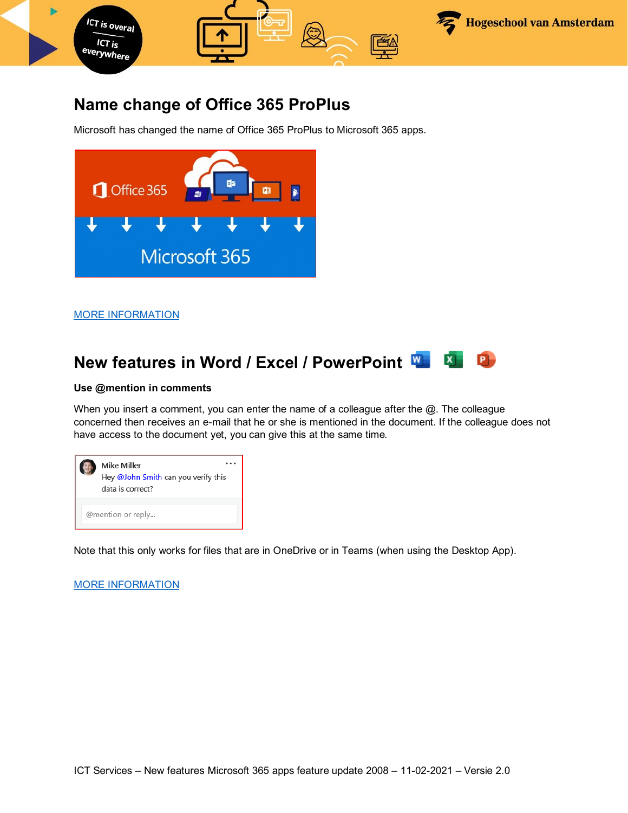

### **Name change of Office 365 ProPlus**

Microsoft has changed the name of Office 365 ProPlus to Microsoft 365 apps.



[MORE INFORMATION](https://www.microsoft.com/en-us/microsoft-365/blog/2020/03/30/new-microsoft-365-offerings-small-and-medium-sized-businesses/)

#### **New features in Word / Excel / PowerPoint**   $\mathbf{x}$

### **Use @mention in comments**

When you insert a comment, you can enter the name of a colleague after the  $@.$  The colleague concerned then receives an e-mail that he or she is mentioned in the document. If the colleague does not have access to the document yet, you can give this at the same time.



Note that this only works for files that are in OneDrive or in Teams (when using the Desktop App).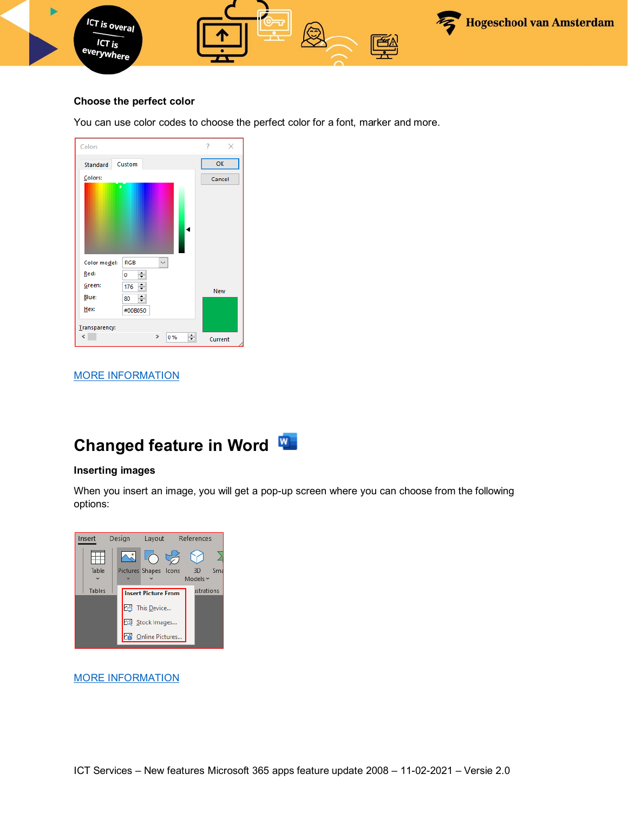

### **Choose the perfect color**

You can use color codes to choose the perfect color for a font, marker and more.

| Colors                   |                            | 7<br>×     |
|--------------------------|----------------------------|------------|
| Standard                 | Custom                     | OK         |
| Colors:                  |                            | Cancel     |
| ä,                       |                            |            |
| Color model:             | $\checkmark$<br><b>RGB</b> |            |
| Red:                     | $\div$<br>0                |            |
| Green:                   | ÷<br>176                   | <b>New</b> |
| Blue:                    | ÷<br>80                    |            |
| Hex:                     | #00B050                    |            |
| Transparency:            |                            |            |
| $\overline{\phantom{a}}$ | ÷<br>$\rightarrow$<br>0%   | Current    |

### [MORE INFORMATION](https://insider.office.com/en-us/blog/hex-color-values-in-color-picker)

# **Changed feature in Word**

### **Inserting images**

When you insert an image, you will get a pop-up screen where you can choose from the following options:

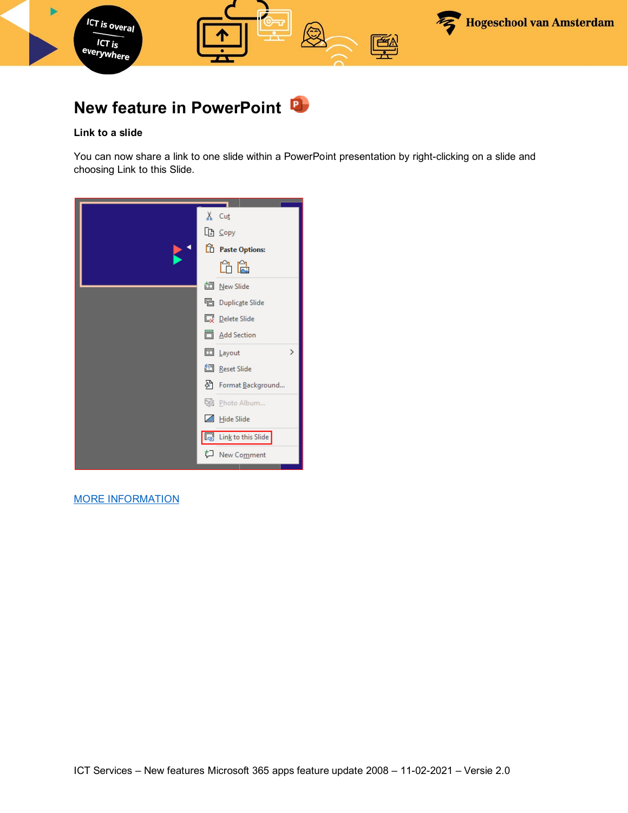

## **New feature in PowerPoint**

### **Link to a slide**

You can now share a link to one slide within a PowerPoint presentation by right-clicking on a slide and choosing Link to this Slide.

| $X$ Cut                          |
|----------------------------------|
| Le Copy                          |
| <sup>n</sup> Paste Options:      |
| ĥ Ë                              |
| 卣 <u>N</u> ew Slide              |
| <sup>[12</sup> ] Duplicate Slide |
| <b>Delete Slide</b>              |
| <b>同 Add Section</b>             |
| <b>□</b> Layout<br>$\mathcal{P}$ |
| <b>图</b> Reset Slide             |
| A Format Background              |
| Photo Album                      |
| Hide Slide<br>⊿                  |
| Link to this Slide<br>╔,         |
| ᄓ<br>New Comment                 |